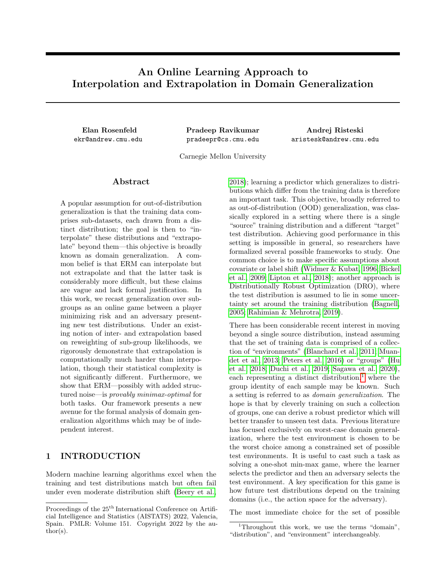# An Online Learning Approach to Interpolation and Extrapolation in Domain Generalization

ekr@andrew.cmu.edu pradeepr@cs.cmu.edu

Elan Rosenfeld Pradeep Ravikumar Andrej Risteski aristesk@andrew.cmu.edu

Carnegie Mellon University

### Abstract

A popular assumption for out-of-distribution generalization is that the training data comprises sub-datasets, each drawn from a distinct distribution; the goal is then to "interpolate" these distributions and "extrapolate" beyond them—this objective is broadly known as domain generalization. A common belief is that ERM can interpolate but not extrapolate and that the latter task is considerably more difficult, but these claims are vague and lack formal justification. In this work, we recast generalization over subgroups as an online game between a player minimizing risk and an adversary presenting new test distributions. Under an existing notion of inter- and extrapolation based on reweighting of sub-group likelihoods, we rigorously demonstrate that extrapolation is computationally much harder than interpolation, though their statistical complexity is not significantly different. Furthermore, we show that ERM—possibly with added structured noise—is provably minimax-optimal for both tasks. Our framework presents a new avenue for the formal analysis of domain generalization algorithms which may be of independent interest.

# 1 INTRODUCTION

Modern machine learning algorithms excel when the training and test distributions match but often fail under even moderate distribution shift [\(Beery et al.,](#page-9-0) [2018\)](#page-9-0); learning a predictor which generalizes to distributions which differ from the training data is therefore an important task. This objective, broadly referred to as out-of-distribution (OOD) generalization, was classically explored in a setting where there is a single "source" training distribution and a different "target" test distribution. Achieving good performance in this setting is impossible in general, so researchers have formalized several possible frameworks to study. One common choice is to make specific assumptions about covariate or label shift [\(Widmer & Kubat, 1996;](#page-10-0) [Bickel](#page-9-1) [et al., 2009;](#page-9-1) [Lipton et al., 2018\)](#page-9-2); another approach is Distributionally Robust Optimization (DRO), where the test distribution is assumed to lie in some uncertainty set around the training distribution [\(Bagnell,](#page-9-3) [2005;](#page-9-3) [Rahimian & Mehrotra, 2019\)](#page-10-1).

There has been considerable recent interest in moving beyond a single source distribution, instead assuming that the set of training data is comprised of a collection of "environments" [\(Blanchard et al., 2011;](#page-9-4) [Muan](#page-10-2)[det et al., 2013;](#page-10-2) [Peters et al., 2016\)](#page-10-3) or "groups" [\(Hu](#page-9-5) [et al., 2018;](#page-9-5) [Duchi et al., 2019;](#page-9-6) [Sagawa et al., 2020\)](#page-10-4), each representing a distinct distribution, $\frac{1}{1}$  $\frac{1}{1}$  $\frac{1}{1}$  where the group identity of each sample may be known. Such a setting is referred to as domain generalization. The hope is that by cleverly training on such a collection of groups, one can derive a robust predictor which will better transfer to unseen test data. Previous literature has focused exclusively on worst-case domain generalization, where the test environment is chosen to be the worst choice among a constrained set of possible test environments. It is useful to cast such a task as solving a one-shot min-max game, where the learner selects the predictor and then an adversary selects the test environment. A key specification for this game is how future test distributions depend on the training domains (i.e., the action space for the adversary).

The most immediate choice for the set of possible

Proceedings of the  $25^{\text{th}}$  International Conference on Artificial Intelligence and Statistics (AISTATS) 2022, Valencia, Spain. PMLR: Volume 151. Copyright 2022 by the au- $\text{thor}(s)$ .

<span id="page-0-0"></span><sup>&</sup>lt;sup>1</sup>Throughout this work, we use the terms "domain", "distribution", and "environment" interchangeably.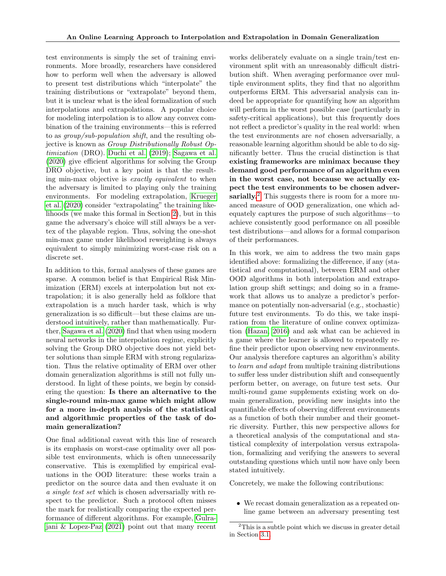test environments is simply the set of training environments. More broadly, researchers have considered how to perform well when the adversary is allowed to present test distributions which "interpolate" the training distributions or "extrapolate" beyond them, but it is unclear what is the ideal formalization of such interpolations and extrapolations. A popular choice for modeling interpolation is to allow any convex combination of the training environments—this is referred to as group/sub-population shift, and the resulting objective is known as Group Distributionally Robust Optimization (DRO). [Duchi et al.](#page-9-6) [\(2019\)](#page-9-6); [Sagawa et al.](#page-10-4) [\(2020\)](#page-10-4) give efficient algorithms for solving the Group DRO objective, but a key point is that the resulting min-max objective is exactly equivalent to when the adversary is limited to playing only the training environments. For modeling extrapolation, [Krueger](#page-9-7) [et al.](#page-9-7) [\(2020\)](#page-9-7) consider "extrapolating" the training likelihoods (we make this formal in Section [2\)](#page-2-0), but in this game the adversary's choice will still always be a vertex of the playable region. Thus, solving the one-shot min-max game under likelihood reweighting is always equivalent to simply minimizing worst-case risk on a discrete set.

In addition to this, formal analyses of these games are sparse. A common belief is that Empirical Risk Minimization (ERM) excels at interpolation but not extrapolation; it is also generally held as folklore that extrapolation is a much harder task, which is why generalization is so difficult—but these claims are understood intuitively, rather than mathematically. Further, [Sagawa et al.](#page-10-4) [\(2020\)](#page-10-4) find that when using modern neural networks in the interpolation regime, explicitly solving the Group DRO objective does not yield better solutions than simple ERM with strong regularization. Thus the relative optimality of ERM over other domain generalization algorithms is still not fully understood. In light of these points, we begin by considering the question: Is there an alternative to the single-round min-max game which might allow for a more in-depth analysis of the statistical and algorithmic properties of the task of domain generalization?

One final additional caveat with this line of research is its emphasis on worst-case optimality over all possible test environments, which is often unnecessarily conservative. This is exemplified by empirical evaluations in the OOD literature: these works train a predictor on the source data and then evaluate it on a single test set which is chosen adversarially with respect to the predictor. Such a protocol often misses the mark for realistically comparing the expected performance of different algorithms. For example, [Gulra](#page-9-8)[jani & Lopez-Paz](#page-9-8) [\(2021\)](#page-9-8) point out that many recent works deliberately evaluate on a single train/test environment split with an unreasonably difficult distribution shift. When averaging performance over multiple environment splits, they find that no algorithm outperforms ERM. This adversarial analysis can indeed be appropriate for quantifying how an algorithm will perform in the worst possible case (particularly in safety-critical applications), but this frequently does not reflect a predictor's quality in the real world: when the test environments are not chosen adversarially, a reasonable learning algorithm should be able to do significantly better. Thus the crucial distinction is that existing frameworks are minimax because they demand good performance of an algorithm even in the worst case, not because we actually expect the test environments to be chosen adver-sarially.<sup>[2](#page-1-0)</sup> This suggests there is room for a more nuanced measure of OOD generalization, one which adequately captures the purpose of such algorithms—to achieve consistently good performance on all possible test distributions—and allows for a formal comparison of their performances.

In this work, we aim to address the two main gaps identified above: formalizing the difference, if any (statistical and computational), between ERM and other OOD algorithms in both interpolation and extrapolation group shift settings; and doing so in a framework that allows us to analyze a predictor's performance on potentially non-adversarial (e.g., stochastic) future test environments. To do this, we take inspiration from the literature of online convex optimization [\(Hazan, 2016\)](#page-9-9) and ask what can be achieved in a game where the learner is allowed to repeatedly refine their predictor upon observing new environments. Our analysis therefore captures an algorithm's ability to learn and adapt from multiple training distributions to suffer less under distribution shift and consequently perform better, on average, on future test sets. Our multi-round game supplements existing work on domain generalization, providing new insights into the quantifiable effects of observing different environments as a function of both their number and their geometric diversity. Further, this new perspective allows for a theoretical analysis of the computational and statistical complexity of interpolation versus extrapolation, formalizing and verifying the answers to several outstanding questions which until now have only been stated intuitively.

Concretely, we make the following contributions:

• We recast domain generalization as a repeated online game between an adversary presenting test

<span id="page-1-0"></span><sup>&</sup>lt;sup>2</sup>This is a subtle point which we discuss in greater detail in Section [3.1.](#page-4-0)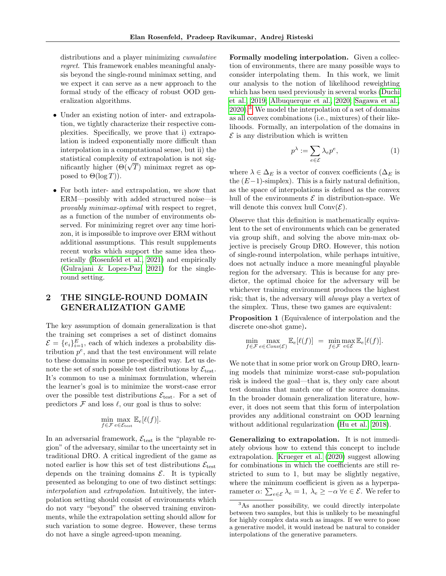distributions and a player minimizing cumulative regret. This framework enables meaningful analysis beyond the single-round minimax setting, and we expect it can serve as a new approach to the formal study of the efficacy of robust OOD generalization algorithms.

- Under an existing notion of inter- and extrapolation, we tightly characterize their respective complexities. Specifically, we prove that i) extrapolation is indeed exponentially more difficult than interpolation in a computational sense, but ii) the statistical complexity of extrapolation is not sigstatistical complexity of extrapolation is not significantly higher  $(\Theta(\sqrt{T}))$  minimax regret as opposed to  $\Theta(\log T)$ ).
- For both inter- and extrapolation, we show that ERM—possibly with added structured noise—is provably minimax-optimal with respect to regret, as a function of the number of environments observed. For minimizing regret over any time horizon, it is impossible to improve over ERM without additional assumptions. This result supplements recent works which support the same idea theoretically [\(Rosenfeld et al., 2021\)](#page-10-5) and empirically [\(Gulrajani & Lopez-Paz, 2021\)](#page-9-8) for the singleround setting.

# <span id="page-2-0"></span>2 THE SINGLE-ROUND DOMAIN GENERALIZATION GAME

The key assumption of domain generalization is that the training set comprises a set of distinct domains  $\mathcal{E} = \{e_i\}_{i=1}^E$ , each of which indexes a probability distribution  $p^e$ , and that the test environment will relate to these domains in some pre-specified way. Let us denote the set of such possible test distributions by  $\mathcal{E}_{\text{test}}$ . It's common to use a minimax formulation, wherein the learner's goal is to minimize the worst-case error over the possible test distributions  $\mathcal{E}_{\text{test}}$ . For a set of predictors  $\mathcal F$  and loss  $\ell$ , our goal is thus to solve:

$$
\min_{f \in \mathcal{F}} \max_{e \in \mathcal{E}_{\text{test}}} \mathbb{E}_e[\ell(f)].
$$

In an adversarial framework,  $\mathcal{E}_{\text{test}}$  is the "playable region" of the adversary, similar to the uncertainty set in traditional DRO. A critical ingredient of the game as noted earlier is how this set of test distributions  $\mathcal{E}_{\text{test}}$ depends on the training domains  $\mathcal{E}$ . It is typically presented as belonging to one of two distinct settings: interpolation and extrapolation. Intuitively, the interpolation setting should consist of environments which do not vary "beyond" the observed training environments, while the extrapolation setting should allow for such variation to some degree. However, these terms do not have a single agreed-upon meaning.

Formally modeling interpolation. Given a collection of environments, there are many possible ways to consider interpolating them. In this work, we limit our analysis to the notion of likelihood reweighting which has been used previously in several works [\(Duchi](#page-9-6) [et al., 2019;](#page-9-6) [Albuquerque et al., 2020;](#page-8-0) [Sagawa et al.,](#page-10-4)  $2020$ .<sup>[3](#page-2-1)</sup> We model the interpolation of a set of domains as all convex combinations (i.e., mixtures) of their likelihoods. Formally, an interpolation of the domains in  $\mathcal E$  is any distribution which is written

<span id="page-2-2"></span>
$$
p^{\lambda} := \sum_{e \in \mathcal{E}} \lambda_e p^e,\tag{1}
$$

where  $\lambda \in \Delta_E$  is a vector of convex coefficients ( $\Delta_E$  is the  $(E-1)$ -simplex). This is a fairly natural definition, as the space of interpolations is defined as the convex hull of the environments  $\mathcal E$  in distribution-space. We will denote this convex hull  $Conv(\mathcal{E})$ .

Observe that this definition is mathematically equivalent to the set of environments which can be generated via group shift, and solving the above min-max objective is precisely Group DRO. However, this notion of single-round interpolation, while perhaps intuitive, does not actually induce a more meaningful playable region for the adversary. This is because for any predictor, the optimal choice for the adversary will be whichever training environment produces the highest risk; that is, the adversary will always play a vertex of the simplex. Thus, these two games are equivalent:

Proposition 1 (Equivalence of interpolation and the discrete one-shot game).

$$
\min_{f \in \mathcal{F}} \max_{e \in Conv(\mathcal{E})} \mathbb{E}_e[\ell(f)] = \min_{f \in \mathcal{F}} \max_{e \in \mathcal{E}} \mathbb{E}_e[\ell(f)].
$$

We note that in some prior work on Group DRO, learning models that minimize worst-case sub-population risk is indeed the goal—that is, they only care about test domains that match one of the source domains. In the broader domain generalization literature, however, it does not seem that this form of interpolation provides any additional constraint on OOD learning without additional regularization [\(Hu et al., 2018\)](#page-9-5).

Generalizing to extrapolation. It is not immediately obvious how to extend this concept to include extrapolation. [Krueger et al.](#page-9-7) [\(2020\)](#page-9-7) suggest allowing for combinations in which the coefficients are still restricted to sum to 1, but may be slightly negative, where the minimum coefficient is given as a hyperparameter  $\alpha$ :  $\sum_{e \in \mathcal{E}} \lambda_e = 1$ ,  $\lambda_e \geq -\alpha \ \forall e \in \mathcal{E}$ . We refer to

<span id="page-2-1"></span><sup>&</sup>lt;sup>3</sup>As another possibility, we could directly interpolate between two samples, but this is unlikely to be meaningful for highly complex data such as images. If we were to pose a generative model, it would instead be natural to consider interpolations of the generative parameters.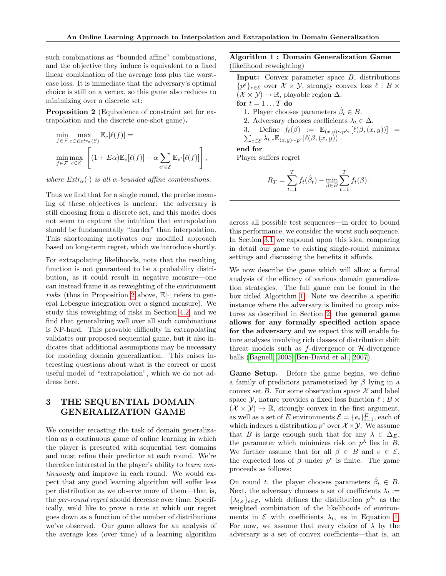such combinations as "bounded affine" combinations, and the objective they induce is equivalent to a fixed linear combination of the average loss plus the worstcase loss. It is immediate that the adversary's optimal choice is still on a vertex, so this game also reduces to minimizing over a discrete set:

<span id="page-3-0"></span>Proposition 2 (Equivalence of constraint set for extrapolation and the discrete one-shot game).

$$
\min_{f \in \mathcal{F}} \max_{e \in \text{Estr}_{\alpha}(\mathcal{E})} \mathbb{E}_e[\ell(f)] =
$$
\n
$$
\min_{f \in \mathcal{F}} \max_{e \in \mathcal{E}} \left[ (1 + E\alpha) \mathbb{E}_e[\ell(f)] - \alpha \sum_{e' \in \mathcal{E}} \mathbb{E}_{e'}[\ell(f)] \right],
$$

where  $Extr_{\alpha}(\cdot)$  is all  $\alpha$ -bounded affine combinations.

Thus we find that for a single round, the precise meaning of these objectives is unclear: the adversary is still choosing from a discrete set, and this model does not seem to capture the intuition that extrapolation should be fundamentally "harder" than interpolation. This shortcoming motivates our modified approach based on long-term regret, which we introduce shortly.

For extrapolating likelihoods, note that the resulting function is not guaranteed to be a probability distribution, as it could result in negative measure—one can instead frame it as reweighting of the environment risks (thus in Proposition [2](#page-3-0) above,  $\mathbb{E}[\cdot]$  refers to general Lebesgue integration over a signed measure). We study this reweighting of risks in Section [4.2,](#page-6-0) and we find that generalizing well over all such combinations is NP-hard. This provable difficulty in extrapolating validates our proposed sequential game, but it also indicates that additional assumptions may be necessary for modeling domain generalization. This raises interesting questions about what is the correct or most useful model of "extrapolation", which we do not address here.

# 3 THE SEQUENTIAL DOMAIN GENERALIZATION GAME

We consider recasting the task of domain generalization as a continuous game of online learning in which the player is presented with sequential test domains and must refine their predictor at each round. We're therefore interested in the player's ability to learn continuously and improve in each round. We would expect that any good learning algorithm will suffer less per distribution as we observe more of them—that is, the per-round regret should decrease over time. Specifically, we'd like to prove a rate at which our regret goes down as a function of the number of distributions we've observed. Our game allows for an analysis of the average loss (over time) of a learning algorithm

## <span id="page-3-1"></span>Algorithm 1 : Domain Generalization Game (likelihood reweighting)

Input: Convex parameter space B, distributions { $p<sup>e</sup>$ }<sub>*e*∈*E*</sub> over  $X \times Y$ , strongly convex loss  $\ell : B \times$  $({\mathcal{X}} \times {\mathcal{Y}}) \rightarrow \mathbb{R}$ , playable region  $\Delta$ . for  $t = 1 \dots T$  do 1. Player chooses parameters  $\hat{\beta}_t \in B$ . 2. Adversary chooses coefficients  $\lambda_t \in \Delta$ . 3. Define  $f_t(\beta) := \mathbb{E}_{(x,y)\sim p^{\lambda_t}}[\ell(\beta,(x,y))] =$ <br> $\sum_{e \in \mathcal{E}} \lambda_{t,e} \mathbb{E}_{(x,y)\sim p^e}[\ell(\beta,(x,y))].$  $\sum_{e \in \mathcal{E}} \lambda_{t,e} \mathbb{E}_{(x,y) \sim p^e} [\ell(\beta, (x, y))]$ . end for Player suffers regret

$$
R_T = \sum_{t=1}^{T} f_t(\hat{\beta}_t) - \min_{\beta \in B} \sum_{t=1}^{T} f_t(\beta).
$$

across all possible test sequences—in order to bound this performance, we consider the worst such sequence. In Section [3.1](#page-4-0) we expound upon this idea, comparing in detail our game to existing single-round minimax settings and discussing the benefits it affords.

We now describe the game which will allow a formal analysis of the efficacy of various domain generalization strategies. The full game can be found in the box titled Algorithm [1.](#page-3-1) Note we describe a specific instance where the adversary is limited to group mixtures as described in Section [2;](#page-2-0) the general game allows for any formally specified action space for the adversary and we expect this will enable future analyses involving rich classes of distribution shift threat models such as  $f$ -divergence or  $H$ -divergence balls [\(Bagnell, 2005;](#page-9-3) [Ben-David et al., 2007\)](#page-9-10).

Game Setup. Before the game begins, we define a family of predictors parameterized by  $\beta$  lying in a convex set B. For some observation space  $\mathcal X$  and label space Y, nature provides a fixed loss function  $\ell : B \times$  $(X \times Y) \rightarrow \mathbb{R}$ , strongly convex in the first argument, as well as a set of E environments  $\mathcal{E} = \{e_i\}_{i=1}^E$ , each of which indexes a distribution  $p^e$  over  $\mathcal{X} \times \mathcal{Y}$ . We assume that B is large enough such that for any  $\lambda \in \Delta_E$ , the parameter which minimizes risk on  $p^{\lambda}$  lies in B. We further assume that for all  $\beta \in B$  and  $e \in \mathcal{E}$ , the expected loss of  $\beta$  under  $p^e$  is finite. The game proceeds as follows:

On round t, the player chooses parameters  $\hat{\beta}_t \in B$ . Next, the adversary chooses a set of coefficients  $\lambda_t :=$  $\{\lambda_{t,e}\}_{e\in\mathcal{E}}$ , which defines the distribution  $p^{\lambda_t}$  as the weighted combination of the likelihoods of environments in  $\mathcal E$  with coefficients  $\lambda_t$ , as in Equation [1.](#page-2-2) For now, we assume that every choice of  $\lambda$  by the adversary is a set of convex coefficients—that is, an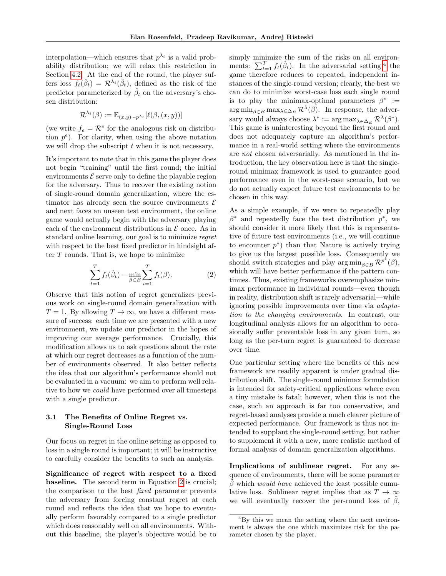interpolation—which ensures that  $p^{\lambda_t}$  is a valid probability distribution; we will relax this restriction in Section [4.2.](#page-6-0) At the end of the round, the player suffers loss  $f_t(\hat{\beta}_t) = \mathcal{R}^{\lambda_t}(\hat{\beta}_t)$ , defined as the risk of the predictor parameterized by  $\hat{\beta}_t$  on the adversary's chosen distribution:

$$
\mathcal{R}^{\lambda_t}(\beta) := \mathbb{E}_{(x,y)\sim p^{\lambda_t}}[\ell(\beta,(x,y))]
$$

(we write  $f_e = \mathcal{R}^e$  for the analogous risk on distribution  $p^e$ ). For clarity, when using the above notation we will drop the subscript  $t$  when it is not necessary.

It's important to note that in this game the player does not begin "training" until the first round; the initial environments  $\mathcal E$  serve only to define the playable region for the adversary. Thus to recover the existing notion of single-round domain generalization, where the estimator has already seen the source environments  $\mathcal E$ and next faces an unseen test environment, the online game would actually begin with the adversary playing each of the environment distributions in  $\mathcal E$  once. As in standard online learning, our goal is to minimize regret with respect to the best fixed predictor in hindsight after  $T$  rounds. That is, we hope to minimize

$$
\sum_{t=1}^{T} f_t(\hat{\beta}_t) - \min_{\beta \in B} \sum_{i=1}^{T} f_t(\beta).
$$
 (2)

Observe that this notion of regret generalizes previous work on single-round domain generalization with  $T = 1$ . By allowing  $T \to \infty$ , we have a different measure of success: each time we are presented with a new environment, we update our predictor in the hopes of improving our average performance. Crucially, this modification allows us to ask questions about the rate at which our regret decreases as a function of the number of environments observed. It also better reflects the idea that our algorithm's performance should not be evaluated in a vacuum: we aim to perform well relative to how we could have performed over all timesteps with a single predictor.

# <span id="page-4-0"></span>3.1 The Benefits of Online Regret vs. Single-Round Loss

Our focus on regret in the online setting as opposed to loss in a single round is important; it will be instructive to carefully consider the benefits to such an analysis.

Significance of regret with respect to a fixed baseline. The second term in Equation [2](#page-4-1) is crucial; the comparison to the best fixed parameter prevents the adversary from forcing constant regret at each round and reflects the idea that we hope to eventually perform favorably compared to a single predictor which does reasonably well on all environments. Without this baseline, the player's objective would be to simply minimize the sum of the risks on all environments:  $\sum_{t=1}^{T} f_t(\hat{\beta}_t)$ . In the adversarial setting,<sup>[4](#page-4-2)</sup> the game therefore reduces to repeated, independent instances of the single-round version; clearly, the best we can do to minimize worst-case loss each single round is to play the minimax-optimal parameters  $\beta^* :=$  $\arg \min_{\beta \in B} \max_{\lambda \in \Delta_E} \mathcal{R}^{\lambda}(\beta)$ . In response, the adversary would always choose  $\lambda^* := \arg \max_{\lambda \in \Delta_E} \mathcal{R}^{\lambda}(\beta^*).$ This game is uninteresting beyond the first round and does not adequately capture an algorithm's performance in a real-world setting where the environments are not chosen adversarially. As mentioned in the introduction, the key observation here is that the singleround minimax framework is used to guarantee good performance even in the worst-case scenario, but we do not actually expect future test environments to be chosen in this way.

<span id="page-4-1"></span>As a simple example, if we were to repeatedly play  $\beta^*$  and repeatedly face the test distribution  $p^*$ , we should consider it more likely that this is representative of future test environments (i.e., we will continue to encounter  $p^*$ ) than that Nature is actively trying to give us the largest possible loss. Consequently we should switch strategies and play arg min<sub> $\beta \in B$ </sub>  $\mathcal{R}^{p^*}(\beta)$ , which will have better performance if the pattern continues. Thus, existing frameworks overemphasize minimax performance in individual rounds—even though in reality, distribution shift is rarely adversarial—while ignoring possible improvements over time via adaptation to the changing environments. In contrast, our longitudinal analysis allows for an algorithm to occasionally suffer preventable loss in any given turn, so long as the per-turn regret is guaranteed to decrease over time.

One particular setting where the benefits of this new framework are readily apparent is under gradual distribution shift. The single-round minimax formulation is intended for safety-critical applications where even a tiny mistake is fatal; however, when this is not the case, such an approach is far too conservative, and regret-based analyses provide a much clearer picture of expected performance. Our framework is thus not intended to supplant the single-round setting, but rather to supplement it with a new, more realistic method of formal analysis of domain generalization algorithms.

Implications of sublinear regret. For any sequence of environments, there will be some parameter  $\beta$  which would have achieved the least possible cumulative loss. Sublinear regret implies that as  $T \to \infty$ we will eventually recover the per-round loss of  $\beta$ ,

<span id="page-4-2"></span><sup>4</sup>By this we mean the setting where the next environment is always the one which maximizes risk for the parameter chosen by the player.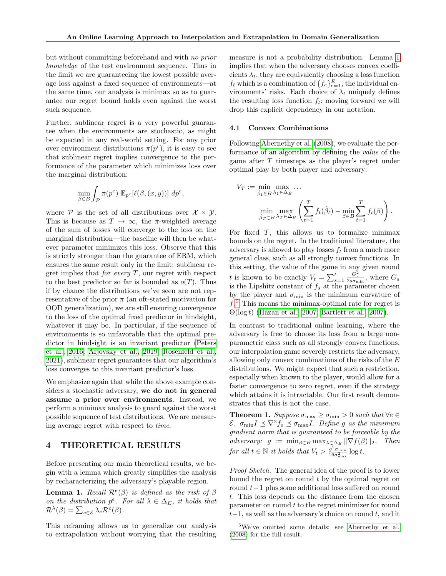but without committing beforehand and with no prior knowledge of the test environment sequence. Thus in the limit we are guaranteeing the lowest possible average loss against a fixed sequence of environments—at the same time, our analysis is minimax so as to guarantee our regret bound holds even against the worst such sequence.

Further, sublinear regret is a very powerful guarantee when the environments are stochastic, as might be expected in any real-world setting. For any prior over environment distributions  $\pi(p^e)$ , it is easy to see that sublinear regret implies convergence to the performance of the parameter which minimizes loss over the marginal distribution:

$$
\min_{\beta \in B} \int_{\mathcal{P}} \pi(p^e) \ \mathbb{E}_{p^e} [\ell(\beta, (x, y))] \ d p^e,
$$

where  $P$  is the set of all distributions over  $\mathcal{X} \times \mathcal{Y}$ . This is because as  $T \to \infty$ , the  $\pi$ -weighted average of the sum of losses will converge to the loss on the marginal distribution—the baseline will then be whatever parameter minimizes this loss. Observe that this is strictly stronger than the guarantee of ERM, which ensures the same result only in the limit: sublinear regret implies that *for every*  $T$ , our regret with respect to the best predictor so far is bounded as  $o(T)$ . Thus if by chance the distributions we've seen are not representative of the prior  $\pi$  (an oft-stated motivation for OOD generalization), we are still ensuring convergence to the loss of the optimal fixed predictor in hindsight, whatever it may be. In particular, if the sequence of environments is so unfavorable that the optimal predictor in hindsight is an invariant predictor [\(Peters](#page-10-3) [et al., 2016;](#page-10-3) [Arjovsky et al., 2019;](#page-9-11) [Rosenfeld et al.,](#page-10-5) [2021\)](#page-10-5), sublinear regret guarantees that our algorithm's loss converges to this invariant predictor's loss.

We emphasize again that while the above example considers a stochastic adversary, we do not in general assume a prior over environments. Instead, we perform a minimax analysis to guard against the worst possible sequence of test distributions. We are measuring average regret with respect to time.

# 4 THEORETICAL RESULTS

Before presenting our main theoretical results, we begin with a lemma which greatly simplifies the analysis by recharacterizing the adversary's playable region.

<span id="page-5-0"></span>**Lemma 1.** Recall  $\mathcal{R}^e(\beta)$  is defined as the risk of  $\beta$ on the distribution  $p^e$ . For all  $\lambda \in \Delta_E$ , it holds that  $\mathcal{R}^{\lambda}(\beta) = \sum_{e \in \mathcal{E}} \lambda_e \mathcal{R}^e(\beta).$ 

This reframing allows us to generalize our analysis to extrapolation without worrying that the resulting measure is not a probability distribution. Lemma [1](#page-5-0) implies that when the adversary chooses convex coefficients  $\lambda_t$ , they are equivalently choosing a loss function  $f_t$  which is a combination of  $\{f_e\}_{e=1}^E$ , the individual environments' risks. Each choice of  $\lambda_t$  uniquely defines the resulting loss function  $f_t$ ; moving forward we will drop this explicit dependency in our notation.

#### 4.1 Convex Combinations

Following [Abernethy et al.](#page-8-1) [\(2008\)](#page-8-1), we evaluate the performance of an algorithm by defining the value of the game after T timesteps as the player's regret under optimal play by both player and adversary:

$$
V_T := \min_{\hat{\beta}_1 \in B} \max_{\lambda_1 \in \Delta_E} \dots
$$
  

$$
\min_{\hat{\beta}_T \in B} \max_{\lambda_T \in \Delta_E} \left( \sum_{t=1}^T f_t(\hat{\beta}_t) - \min_{\beta \in B} \sum_{t=1}^T f_t(\beta) \right).
$$

For fixed  $T$ , this allows us to formalize minimax bounds on the regret. In the traditional literature, the adversary is allowed to play losses  $f_t$  from a much more general class, such as all strongly convex functions. In this setting, the value of the game in any given round t is known to be exactly  $V_t = \sum_{s=1}^t$  $\frac{G_s^2}{2s\sigma_{\min}}$ , where  $G_s$ is the Lipshitz constant of  $f_s$  at the parameter chosen by the player and  $\sigma_{\min}$  is the minimum curvature of f. [5](#page-5-1) This means the minimax-optimal rate for regret is Θ(log t) [\(Hazan et al., 2007;](#page-9-12) [Bartlett et al., 2007\)](#page-9-13).

In contrast to traditional online learning, where the adversary is free to choose its loss from a large nonparametric class such as all strongly convex functions, our interpolation game severely restricts the adversary, allowing only convex combinations of the risks of the  $E$ distributions. We might expect that such a restriction, especially when known to the player, would allow for a faster convergence to zero regret, even if the strategy which attains it is intractable. Our first result demonstrates that this is not the case.

<span id="page-5-2"></span>**Theorem 1.** Suppose  $\sigma_{\text{max}} \geq \sigma_{\text{min}} > 0$  such that  $\forall e \in \mathcal{E}$  $\mathcal{E}, \ \sigma_{\min} I \preceq \nabla^2 f_e \preceq \sigma_{\max} I.$  Define g as the minimum gradient norm that is guaranteed to be forceable by the adversary:  $g := \min_{\beta \in B} \max_{\lambda \in \Delta_E} ||\nabla f(\beta)||_2$ . Then for all  $t \in \mathbb{N}$  it holds that  $V_t > \frac{g^2 \sigma_{\min}}{16\sigma^2}$  $\frac{g^2 \sigma_{\min}}{16\sigma_{\max}^2} \log t$ .

Proof Sketch. The general idea of the proof is to lower bound the regret on round  $t$  by the optimal regret on round  $t-1$  plus some additional loss suffered on round t. This loss depends on the distance from the chosen  $\alpha$  parameter on round t to the regret minimizer for round  $t-1$ , as well as the adversary's choice on round t, and it

<span id="page-5-1"></span><sup>5</sup>We've omitted some details; see [Abernethy et al.](#page-8-1) [\(2008\)](#page-8-1) for the full result.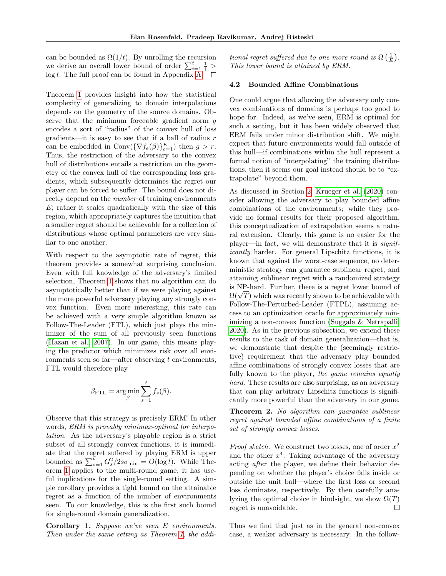can be bounded as  $\Omega(1/t)$ . By unrolling the recursion we derive an overall lower bound of order  $\sum_{i=1}^{t} \frac{1}{i}$  >  $log t$ . The full proof can be found in Appendix [A.](#page-11-0)  $\square$ 

Theorem [1](#page-5-2) provides insight into how the statistical complexity of generalizing to domain interpolations depends on the geometry of the source domains. Observe that the minimum forceable gradient norm g encodes a sort of "radius" of the convex hull of loss gradients—it is easy to see that if a ball of radius  $r$ can be embedded in  $Conv(\{\nabla f_e(\beta)\}_{e=1}^E)$  then  $g > r$ . Thus, the restriction of the adversary to the convex hull of distributions entails a restriction on the geometry of the convex hull of the corresponding loss gradients, which subsequently determines the regret our player can be forced to suffer. The bound does not directly depend on the number of training environments  $E$ ; rather it scales quadratically with the size of this region, which appropriately captures the intuition that a smaller regret should be achievable for a collection of distributions whose optimal parameters are very similar to one another.

With respect to the asymptotic rate of regret, this theorem provides a somewhat surprising conclusion. Even with full knowledge of the adversary's limited selection, Theorem [1](#page-5-2) shows that no algorithm can do asymptotically better than if we were playing against the more powerful adversary playing any strongly convex function. Even more interesting, this rate can be achieved with a very simple algorithm known as Follow-The-Leader (FTL), which just plays the minimizer of the sum of all previously seen functions [\(Hazan et al., 2007\)](#page-9-12). In our game, this means playing the predictor which minimizes risk over all environments seen so far—after observing  $t$  environments, FTL would therefore play

$$
\beta_{\text{FTL}} = \argmin_{\beta} \sum_{s=1}^{t} f_s(\beta).
$$

Observe that this strategy is precisely ERM! In other words, ERM is provably minimax-optimal for interpolation. As the adversary's playable region is a strict subset of all strongly convex functions, it is immediate that the regret suffered by playing ERM is upper bounded as  $\sum_{s=1}^{t} G_s^2/2s\sigma_{\min} = O(\log t)$ . While Theorem [1](#page-5-2) applies to the multi-round game, it has useful implications for the single-round setting. A simple corollary provides a tight bound on the attainable regret as a function of the number of environments seen. To our knowledge, this is the first such bound for single-round domain generalization.

<span id="page-6-1"></span>Corollary 1. Suppose we've seen E environments. Then under the same setting as Theorem [1,](#page-5-2) the additional regret suffered due to one more round is  $\Omega\left(\frac{1}{E}\right)$ . This lower bound is attained by ERM.

#### <span id="page-6-0"></span>4.2 Bounded Affine Combinations

One could argue that allowing the adversary only convex combinations of domains is perhaps too good to hope for. Indeed, as we've seen, ERM is optimal for such a setting, but it has been widely observed that ERM fails under minor distribution shift. We might expect that future environments would fall outside of this hull—if combinations within the hull represent a formal notion of "interpolating" the training distributions, then it seems our goal instead should be to "extrapolate" beyond them.

As discussed in Section [2,](#page-2-0) [Krueger et al.](#page-9-7) [\(2020\)](#page-9-7) consider allowing the adversary to play bounded affine combinations of the environments; while they provide no formal results for their proposed algorithm, this conceptualization of extrapolation seems a natural extension. Clearly, this game is no easier for the player—in fact, we will demonstrate that it is significantly harder. For general Lipschitz functions, it is known that against the worst-case sequence, no deterministic strategy can guarantee sublinear regret, and attaining sublinear regret with a randomized strategy is NP-hard. Further, there is a regret lower bound of is NP-hard. Further, there is a regret lower bound of  $\Omega(\sqrt{T})$  which was recently shown to be achievable with Follow-The-Perturbed-Leader (FTPL), assuming access to an optimization oracle for approximately minimizing a non-convex function [\(Suggala & Netrapalli,](#page-10-6) [2020\)](#page-10-6). As in the previous subsection, we extend these results to the task of domain generalization—that is, we demonstrate that despite the (seemingly restrictive) requirement that the adversary play bounded affine combinations of strongly convex losses that are fully known to the player, the game remains equally hard. These results are also surprising, as an adversary that can play arbitrary Lipschitz functions is significantly more powerful than the adversary in our game.

Theorem 2. No algorithm can guarantee sublinear regret against bounded affine combinations of a finite set of strongly convex losses.

*Proof sketch.* We construct two losses, one of order  $x^2$ and the other  $x^4$ . Taking advantage of the adversary acting after the player, we define their behavior depending on whether the player's choice falls inside or outside the unit ball—where the first loss or second loss dominates, respectively. By then carefully analyzing the optimal choice in hindsight, we show  $\Omega(T)$ regret is unavoidable.  $\Box$ 

Thus we find that just as in the general non-convex case, a weaker adversary is necessary. In the follow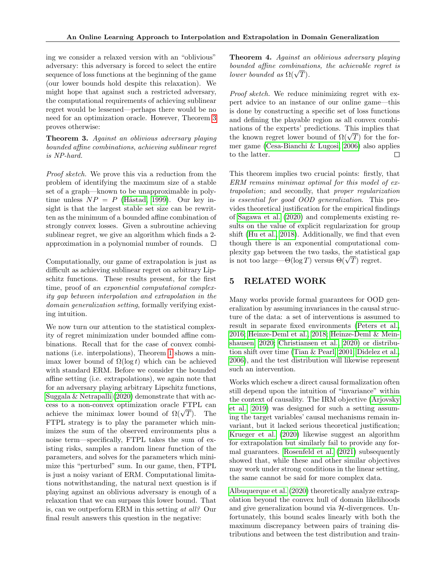ing we consider a relaxed version with an "oblivious" adversary: this adversary is forced to select the entire sequence of loss functions at the beginning of the game (our lower bounds hold despite this relaxation). We might hope that against such a restricted adversary, the computational requirements of achieving sublinear regret would be lessened—perhaps there would be no need for an optimization oracle. However, Theorem [3](#page-7-0) proves otherwise:

<span id="page-7-0"></span>Theorem 3. Against an oblivious adversary playing bounded affine combinations, achieving sublinear regret is NP-hard.

Proof sketch. We prove this via a reduction from the problem of identifying the maximum size of a stable set of a graph—known to be unapproximable in polytime unless  $NP = P$  (Håstad, 1999). Our key insight is that the largest stable set size can be rewritten as the minimum of a bounded affine combination of strongly convex losses. Given a subroutine achieving sublinear regret, we give an algorithm which finds a 2 approximation in a polynomial number of rounds.  $\Box$ 

Computationally, our game of extrapolation is just as difficult as achieving sublinear regret on arbitrary Lipschitz functions. These results present, for the first time, proof of an exponential computational complexity gap between interpolation and extrapolation in the domain generalization setting, formally verifying existing intuition.

We now turn our attention to the statistical complexity of regret minimization under bounded affine combinations. Recall that for the case of convex combinations (i.e. interpolations), Theorem [1](#page-5-2) shows a minimax lower bound of  $\Omega(\log t)$  which can be achieved with standard ERM. Before we consider the bounded affine setting (i.e. extrapolations), we again note that for an adversary playing arbitrary Lipschitz functions, [Suggala & Netrapalli](#page-10-6) [\(2020\)](#page-10-6) demonstrate that with access to a non-convex optimization oracle FTPL can cess to a non-convex optimization oracle  $f IPL$  can<br>achieve the minimax lower bound of  $\Omega(\sqrt{T})$ . The FTPL strategy is to play the parameter which minimizes the sum of the observed environments plus a noise term—specifically, FTPL takes the sum of existing risks, samples a random linear function of the parameters, and solves for the parameters which minimize this "perturbed" sum. In our game, then, FTPL is just a noisy variant of ERM. Computational limitations notwithstanding, the natural next question is if playing against an oblivious adversary is enough of a relaxation that we can surpass this lower bound. That is, can we outperform ERM in this setting at all? Our final result answers this question in the negative:

Theorem 4. Against an oblivious adversary playing bounded affine combinations, the achievable regret is *bounded affine combinati*  $l$ ower bounded as  $\Omega(\sqrt{T}).$ 

Proof sketch. We reduce minimizing regret with expert advice to an instance of our online game—this is done by constructing a specific set of loss functions and defining the playable region as all convex combinations of the experts' predictions. This implies that nations of the experts' predictions. This implies that<br>the known regret lower bound of  $\Omega(\sqrt{T})$  for the former game [\(Cesa-Bianchi & Lugosi, 2006\)](#page-9-15) also applies to the latter.  $\Box$ 

This theorem implies two crucial points: firstly, that ERM remains minimax optimal for this model of extrapolation; and secondly, that proper regularization is essential for good OOD generalization. This provides theoretical justification for the empirical findings of [Sagawa et al.](#page-10-4) [\(2020\)](#page-10-4) and complements existing results on the value of explicit regularization for group shift [\(Hu et al., 2018\)](#page-9-5). Additionally, we find that even though there is an exponential computational complexity gap between the two tasks, the statistical gap plexity gap between the two tasks, the statistics<br>is not too large— $\Theta(\log T)$  versus  $\Theta(\sqrt{T})$  regret.

# 5 RELATED WORK

Many works provide formal guarantees for OOD generalization by assuming invariances in the causal structure of the data: a set of interventions is assumed to result in separate fixed environments [\(Peters et al.,](#page-10-3) [2016;](#page-10-3) [Heinze-Deml et al., 2018;](#page-9-16) [Heinze-Deml & Mein](#page-9-17)[shausen, 2020;](#page-9-17) [Christiansen et al., 2020\)](#page-9-18) or distribution shift over time [\(Tian & Pearl, 2001;](#page-10-7) [Didelez et al.,](#page-9-19) [2006\)](#page-9-19), and the test distribution will likewise represent such an intervention.

Works which eschew a direct causal formalization often still depend upon the intuition of "invariance" within the context of causality. The IRM objective [\(Arjovsky](#page-9-11) [et al., 2019\)](#page-9-11) was designed for such a setting assuming the target variables' causal mechanisms remain invariant, but it lacked serious theoretical justification; [Krueger et al.](#page-9-7) [\(2020\)](#page-9-7) likewise suggest an algorithm for extrapolation but similarly fail to provide any formal guarantees. [Rosenfeld et al.](#page-10-5) [\(2021\)](#page-10-5) subsequently showed that, while these and other similar objectives may work under strong conditions in the linear setting, the same cannot be said for more complex data.

[Albuquerque et al.](#page-8-0) [\(2020\)](#page-8-0) theoretically analyze extrapolation beyond the convex hull of domain likelihoods and give generalization bound via  $H$ -divergences. Unfortunately, this bound scales linearly with both the maximum discrepancy between pairs of training distributions and between the test distribution and train-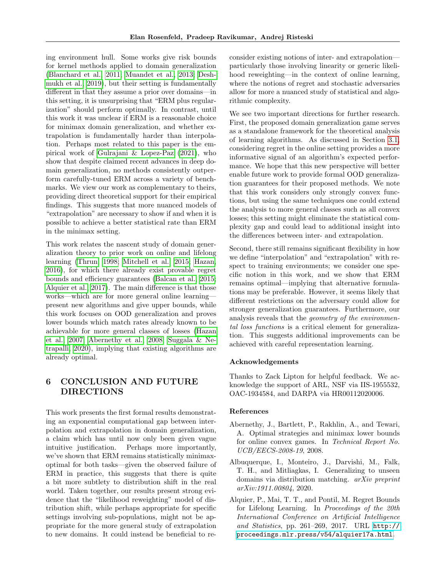ing environment hull. Some works give risk bounds for kernel methods applied to domain generalization [\(Blanchard et al., 2011;](#page-9-4) [Muandet et al., 2013;](#page-10-2) [Desh](#page-9-20)[mukh et al., 2019\)](#page-9-20), but their setting is fundamentally different in that they assume a prior over domains—in this setting, it is unsurprising that "ERM plus regularization" should perform optimally. In contrast, until this work it was unclear if ERM is a reasonable choice for minimax domain generalization, and whether extrapolation is fundamentally harder than interpolation. Perhaps most related to this paper is the empirical work of [Gulrajani & Lopez-Paz](#page-9-8) [\(2021\)](#page-9-8), who show that despite claimed recent advances in deep domain generalization, no methods consistently outperform carefully-tuned ERM across a variety of benchmarks. We view our work as complementary to theirs, providing direct theoretical support for their empirical findings. This suggests that more nuanced models of "extrapolation" are necessary to show if and when it is possible to achieve a better statistical rate than ERM in the minimax setting.

This work relates the nascent study of domain generalization theory to prior work on online and lifelong learning [\(Thrun, 1998;](#page-10-8) [Mitchell et al., 2015;](#page-9-21) [Hazan,](#page-9-9) [2016\)](#page-9-9), for which there already exist provable regret bounds and efficiency guarantees [\(Balcan et al., 2015;](#page-9-22) [Alquier et al., 2017\)](#page-8-2). The main difference is that those works—which are for more general online learning present new algorithms and give upper bounds, while this work focuses on OOD generalization and proves lower bounds which match rates already known to be achievable for more general classes of losses [\(Hazan](#page-9-12) [et al., 2007;](#page-9-12) [Abernethy et al., 2008;](#page-8-1) [Suggala & Ne](#page-10-6)[trapalli, 2020\)](#page-10-6), implying that existing algorithms are already optimal.

# 6 CONCLUSION AND FUTURE DIRECTIONS

This work presents the first formal results demonstrating an exponential computational gap between interpolation and extrapolation in domain generalization, a claim which has until now only been given vague intuitive justification. Perhaps more importantly, we've shown that ERM remains statistically minimaxoptimal for both tasks—given the observed failure of ERM in practice, this suggests that there is quite a bit more subtlety to distribution shift in the real world. Taken together, our results present strong evidence that the "likelihood reweighting" model of distribution shift, while perhaps appropriate for specific settings involving sub-populations, might not be appropriate for the more general study of extrapolation to new domains. It could instead be beneficial to reconsider existing notions of inter- and extrapolation particularly those involving linearity or generic likelihood reweighting—in the context of online learning, where the notions of regret and stochastic adversaries allow for more a nuanced study of statistical and algorithmic complexity.

We see two important directions for further research. First, the proposed domain generalization game serves as a standalone framework for the theoretical analysis of learning algorithms. As discussed in Section [3.1,](#page-4-0) considering regret in the online setting provides a more informative signal of an algorithm's expected performance. We hope that this new perspective will better enable future work to provide formal OOD generalization guarantees for their proposed methods. We note that this work considers only strongly convex functions, but using the same techniques one could extend the analysis to more general classes such as all convex losses; this setting might eliminate the statistical complexity gap and could lead to additional insight into the differences between inter- and extrapolation.

Second, there still remains significant flexibility in how we define "interpolation" and "extrapolation" with respect to training environments; we consider one specific notion in this work, and we show that ERM remains optimal—implying that alternative formulations may be preferable. However, it seems likely that different restrictions on the adversary could allow for stronger generalization guarantees. Furthermore, our analysis reveals that the geometry of the environmental loss functions is a critical element for generalization. This suggests additional improvements can be achieved with careful representation learning.

### Acknowledgements

Thanks to Zack Lipton for helpful feedback. We acknowledge the support of ARL, NSF via IIS-1955532, OAC-1934584, and DARPA via HR00112020006.

#### References

- <span id="page-8-1"></span>Abernethy, J., Bartlett, P., Rakhlin, A., and Tewari, A. Optimal strategies and minimax lower bounds for online convex games. In Technical Report No. UCB/EECS-2008-19, 2008.
- <span id="page-8-0"></span>Albuquerque, I., Monteiro, J., Darvishi, M., Falk, T. H., and Mitliagkas, I. Generalizing to unseen domains via distribution matching. arXiv preprint arXiv:1911.00804, 2020.
- <span id="page-8-2"></span>Alquier, P., Mai, T. T., and Pontil, M. Regret Bounds for Lifelong Learning. In Proceedings of the 20th International Conference on Artificial Intelligence and Statistics, pp. 261–269, 2017. URL [http://](http://proceedings.mlr.press/v54/alquier17a.html) [proceedings.mlr.press/v54/alquier17a.html](http://proceedings.mlr.press/v54/alquier17a.html).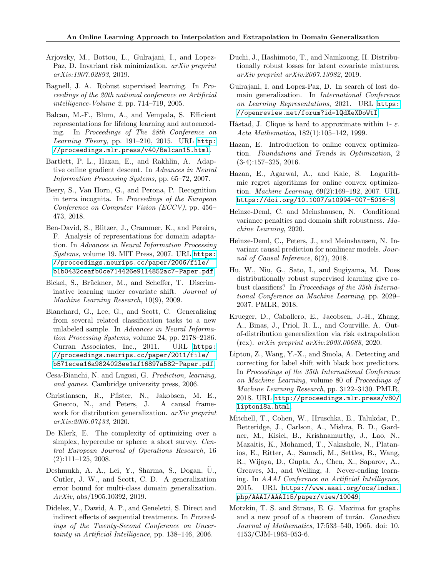- <span id="page-9-11"></span>Arjovsky, M., Bottou, L., Gulrajani, I., and Lopez-Paz, D. Invariant risk minimization. arXiv preprint arXiv:1907.02893, 2019.
- <span id="page-9-3"></span>Bagnell, J. A. Robust supervised learning. In Proceedings of the 20th national conference on Artificial intelligence-Volume 2, pp. 714–719, 2005.
- <span id="page-9-22"></span>Balcan, M.-F., Blum, A., and Vempala, S. Efficient representations for lifelong learning and autoencoding. In Proceedings of The 28th Conference on Learning Theory, pp. 191–210, 2015. URL [http:](http://proceedings.mlr.press/v40/Balcan15.html) [//proceedings.mlr.press/v40/Balcan15.html](http://proceedings.mlr.press/v40/Balcan15.html).
- <span id="page-9-13"></span>Bartlett, P. L., Hazan, E., and Rakhlin, A. Adaptive online gradient descent. In Advances in Neural Information Processing Systems, pp. 65–72, 2007.
- <span id="page-9-0"></span>Beery, S., Van Horn, G., and Perona, P. Recognition in terra incognita. In Proceedings of the European Conference on Computer Vision (ECCV), pp. 456– 473, 2018.
- <span id="page-9-10"></span>Ben-David, S., Blitzer, J., Crammer, K., and Pereira, F. Analysis of representations for domain adaptation. In Advances in Neural Information Processing Systems, volume 19. MIT Press, 2007. URL [https:](https://proceedings.neurips.cc/paper/2006/file/b1b0432ceafb0ce714426e9114852ac7-Paper.pdf) [//proceedings.neurips.cc/paper/2006/file/](https://proceedings.neurips.cc/paper/2006/file/b1b0432ceafb0ce714426e9114852ac7-Paper.pdf) [b1b0432ceafb0ce714426e9114852ac7-Paper.pdf](https://proceedings.neurips.cc/paper/2006/file/b1b0432ceafb0ce714426e9114852ac7-Paper.pdf).
- <span id="page-9-1"></span>Bickel, S., Brückner, M., and Scheffer, T. Discriminative learning under covariate shift. Journal of Machine Learning Research, 10(9), 2009.
- <span id="page-9-4"></span>Blanchard, G., Lee, G., and Scott, C. Generalizing from several related classification tasks to a new unlabeled sample. In Advances in Neural Information Processing Systems, volume 24, pp. 2178–2186. Curran Associates, Inc., 2011. URL [https:](https://proceedings.neurips.cc/paper/2011/file/b571ecea16a9824023ee1af16897a582-Paper.pdf) [//proceedings.neurips.cc/paper/2011/file/](https://proceedings.neurips.cc/paper/2011/file/b571ecea16a9824023ee1af16897a582-Paper.pdf) [b571ecea16a9824023ee1af16897a582-Paper.pdf](https://proceedings.neurips.cc/paper/2011/file/b571ecea16a9824023ee1af16897a582-Paper.pdf).
- <span id="page-9-15"></span>Cesa-Bianchi, N. and Lugosi, G. Prediction, learning, and games. Cambridge university press, 2006.
- <span id="page-9-18"></span>Christiansen, R., Pfister, N., Jakobsen, M. E., Gnecco, N., and Peters, J. A causal framework for distribution generalization. *arXiv preprint* arXiv:2006.07433, 2020.
- <span id="page-9-23"></span>De Klerk, E. The complexity of optimizing over a simplex, hypercube or sphere: a short survey. Central European Journal of Operations Research, 16 (2):111–125, 2008.
- <span id="page-9-20"></span>Deshmukh, A. A., Lei, Y., Sharma, S., Dogan, U., ¨ Cutler, J. W., and Scott, C. D. A generalization error bound for multi-class domain generalization. ArXiv, abs/1905.10392, 2019.
- <span id="page-9-19"></span>Didelez, V., Dawid, A. P., and Geneletti, S. Direct and indirect effects of sequential treatments. In Proceedings of the Twenty-Second Conference on Uncertainty in Artificial Intelligence, pp. 138–146, 2006.
- <span id="page-9-6"></span>Duchi, J., Hashimoto, T., and Namkoong, H. Distributionally robust losses for latent covariate mixtures. arXiv preprint arXiv:2007.13982, 2019.
- <span id="page-9-8"></span>Gulrajani, I. and Lopez-Paz, D. In search of lost domain generalization. In International Conference on Learning Representations, 2021. URL [https:](https://openreview.net/forum?id=lQdXeXDoWtI) [//openreview.net/forum?id=lQdXeXDoWtI](https://openreview.net/forum?id=lQdXeXDoWtI).
- <span id="page-9-14"></span>Håstad, J. Clique is hard to approximate within 1-  $\varepsilon$ . Acta Mathematica, 182(1):105–142, 1999.
- <span id="page-9-9"></span>Hazan, E. Introduction to online convex optimization. Foundations and Trends in Optimization, 2 (3-4):157–325, 2016.
- <span id="page-9-12"></span>Hazan, E., Agarwal, A., and Kale, S. Logarithmic regret algorithms for online convex optimization. Machine Learning, 69(2):169–192, 2007. URL <https://doi.org/10.1007/s10994-007-5016-8>.
- <span id="page-9-17"></span>Heinze-Deml, C. and Meinshausen, N. Conditional variance penalties and domain shift robustness. Machine Learning, 2020.
- <span id="page-9-16"></span>Heinze-Deml, C., Peters, J., and Meinshausen, N. Invariant causal prediction for nonlinear models. Journal of Causal Inference, 6(2), 2018.
- <span id="page-9-5"></span>Hu, W., Niu, G., Sato, I., and Sugiyama, M. Does distributionally robust supervised learning give robust classifiers? In Proceedings of the 35th International Conference on Machine Learning, pp. 2029– 2037. PMLR, 2018.
- <span id="page-9-7"></span>Krueger, D., Caballero, E., Jacobsen, J.-H., Zhang, A., Binas, J., Priol, R. L., and Courville, A. Outof-distribution generalization via risk extrapolation (rex). arXiv preprint arXiv:2003.00688, 2020.
- <span id="page-9-2"></span>Lipton, Z., Wang, Y.-X., and Smola, A. Detecting and correcting for label shift with black box predictors. In Proceedings of the 35th International Conference on Machine Learning, volume 80 of Proceedings of Machine Learning Research, pp. 3122–3130. PMLR, 2018. URL [http://proceedings.mlr.press/v80/](http://proceedings.mlr.press/v80/lipton18a.html) [lipton18a.html](http://proceedings.mlr.press/v80/lipton18a.html).
- <span id="page-9-21"></span>Mitchell, T., Cohen, W., Hruschka, E., Talukdar, P., Betteridge, J., Carlson, A., Mishra, B. D., Gardner, M., Kisiel, B., Krishnamurthy, J., Lao, N., Mazaitis, K., Mohamed, T., Nakashole, N., Platanios, E., Ritter, A., Samadi, M., Settles, B., Wang, R., Wijaya, D., Gupta, A., Chen, X., Saparov, A., Greaves, M., and Welling, J. Never-ending learning. In AAAI Conference on Artificial Intelligence, 2015. URL [https://www.aaai.org/ocs/index.](https://www.aaai.org/ocs/index.php/AAAI/AAAI15/paper/view/10049) [php/AAAI/AAAI15/paper/view/10049](https://www.aaai.org/ocs/index.php/AAAI/AAAI15/paper/view/10049).
- <span id="page-9-24"></span>Motzkin, T. S. and Straus, E. G. Maxima for graphs and a new proof of a theorem of turán. Canadian Journal of Mathematics, 17:533–540, 1965. doi: 10. 4153/CJM-1965-053-6.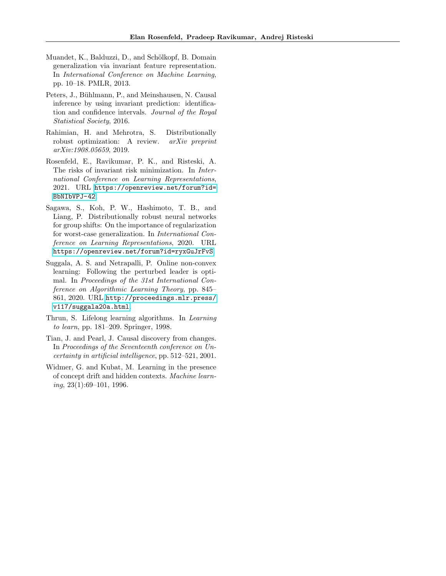- <span id="page-10-2"></span>Muandet, K., Balduzzi, D., and Schölkopf, B. Domain generalization via invariant feature representation. In International Conference on Machine Learning, pp. 10–18. PMLR, 2013.
- <span id="page-10-3"></span>Peters, J., Bühlmann, P., and Meinshausen, N. Causal inference by using invariant prediction: identification and confidence intervals. Journal of the Royal Statistical Society, 2016.
- <span id="page-10-1"></span>Rahimian, H. and Mehrotra, S. Distributionally robust optimization: A review. arXiv preprint arXiv:1908.05659, 2019.
- <span id="page-10-5"></span>Rosenfeld, E., Ravikumar, P. K., and Risteski, A. The risks of invariant risk minimization. In International Conference on Learning Representations, 2021. URL [https://openreview.net/forum?id=](https://openreview.net/forum?id=BbNIbVPJ-42) [BbNIbVPJ-42](https://openreview.net/forum?id=BbNIbVPJ-42).
- <span id="page-10-4"></span>Sagawa, S., Koh, P. W., Hashimoto, T. B., and Liang, P. Distributionally robust neural networks for group shifts: On the importance of regularization for worst-case generalization. In International Conference on Learning Representations, 2020. URL <https://openreview.net/forum?id=ryxGuJrFvS>.
- <span id="page-10-6"></span>Suggala, A. S. and Netrapalli, P. Online non-convex learning: Following the perturbed leader is optimal. In Proceedings of the 31st International Conference on Algorithmic Learning Theory, pp. 845– 861, 2020. URL [http://proceedings.mlr.press/](http://proceedings.mlr.press/v117/suggala20a.html) [v117/suggala20a.html](http://proceedings.mlr.press/v117/suggala20a.html).
- <span id="page-10-8"></span>Thrun, S. Lifelong learning algorithms. In Learning to learn, pp. 181–209. Springer, 1998.
- <span id="page-10-7"></span>Tian, J. and Pearl, J. Causal discovery from changes. In Proceedings of the Seventeenth conference on Uncertainty in artificial intelligence, pp. 512–521, 2001.
- <span id="page-10-0"></span>Widmer, G. and Kubat, M. Learning in the presence of concept drift and hidden contexts. Machine learn $ing, 23(1):69-101, 1996.$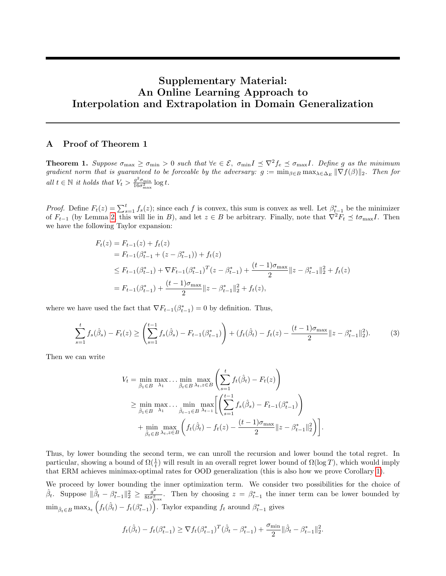# Supplementary Material: An Online Learning Approach to Interpolation and Extrapolation in Domain Generalization

# <span id="page-11-0"></span>A Proof of Theorem 1

**Theorem 1.** Suppose  $\sigma_{\text{max}} \ge \sigma_{\text{min}} > 0$  such that  $\forall e \in \mathcal{E}$ ,  $\sigma_{\text{min}} I \preceq \nabla^2 f_e \preceq \sigma_{\text{max}} I$ . Define g as the minimum gradient norm that is guaranteed to be forceable by the adversary:  $g := \min_{\beta \in B} \max_{\lambda \in \Delta_E} ||\nabla f(\beta)||_2$ . Then for all  $t \in \mathbb{N}$  it holds that  $V_t > \frac{g^2 \sigma_{\min}}{16\sigma^2}$  $\frac{g^2 \sigma_{\min}}{16\sigma_{\max}^2} \log t.$ 

*Proof.* Define  $F_t(z) = \sum_{s=1}^t f_s(z)$ ; since each f is convex, this sum is convex as well. Let  $\beta_{t-1}^*$  be the minimizer of  $F_{t-1}$  (by Lemma [2,](#page-14-0) this will lie in B), and let  $z \in B$  be arbitrary. Finally, note that  $\nabla^2 F_t \preceq t \sigma_{\max} I$ . Then we have the following Taylor expansion:

$$
F_t(z) = F_{t-1}(z) + f_t(z)
$$
  
=  $F_{t-1}(\beta_{t-1}^* + (z - \beta_{t-1}^*)) + f_t(z)$   

$$
\leq F_{t-1}(\beta_{t-1}^*) + \nabla F_{t-1}(\beta_{t-1}^*)^T (z - \beta_{t-1}^*) + \frac{(t-1)\sigma_{\max}}{2} ||z - \beta_{t-1}^*||_2^2 + f_t(z)
$$
  
=  $F_{t-1}(\beta_{t-1}^*) + \frac{(t-1)\sigma_{\max}}{2} ||z - \beta_{t-1}^*||_2^2 + f_t(z),$ 

where we have used the fact that  $\nabla F_{t-1}(\beta_{t-1}^*)=0$  by definition. Thus,

$$
\sum_{s=1}^{t} f_s(\hat{\beta}_s) - F_t(z) \ge \left(\sum_{s=1}^{t-1} f_s(\hat{\beta}_s) - F_{t-1}(\beta_{t-1}^*)\right) + \left(f_t(\hat{\beta}_t) - f_t(z) - \frac{(t-1)\sigma_{\text{max}}}{2} ||z - \beta_{t-1}^*||_2^2\right). \tag{3}
$$

Then we can write

$$
V_t = \min_{\hat{\beta}_1 \in B} \max_{\lambda_1} \dots \min_{\hat{\beta}_t \in B} \max_{\lambda_t, z \in B} \left( \sum_{s=1}^t f_t(\hat{\beta}_t) - F_t(z) \right)
$$
  
\n
$$
\geq \min_{\hat{\beta}_1 \in B} \max_{\lambda_1} \dots \min_{\hat{\beta}_{t-1} \in B} \max_{\lambda_{t-1}} \left[ \left( \sum_{s=1}^{t-1} f_s(\hat{\beta}_s) - F_{t-1}(\beta_{t-1}^*) \right) \right]
$$
  
\n+ 
$$
\min_{\hat{\beta}_t \in B} \max_{\lambda_t, z \in B} \left( f_t(\hat{\beta}_t) - f_t(z) - \frac{(t-1)\sigma_{\max}}{2} ||z - \beta_{t-1}^*||_2^2 \right) \right].
$$

Thus, by lower bounding the second term, we can unroll the recursion and lower bound the total regret. In particular, showing a bound of  $\Omega(\frac{1}{t})$  will result in an overall regret lower bound of  $\Omega(\log T)$ , which would imply that ERM achieves minimax-optimal rates for OOD generalization (this is also how we prove Corollary [1\)](#page-6-1).

We proceed by lower bounding the inner optimization term. We consider two possibilities for the choice of  $\hat{\beta}_t$ . Suppose  $\|\hat{\beta}_t - \beta_{t-1}^*\|_2^2 \geq \frac{g^2}{8t\sigma_v^2}$  $\frac{g^2}{8t\sigma_{\max}^2}$ . Then by choosing  $z = \beta_{t-1}^*$  the inner term can be lower bounded by  $\min_{\hat{\beta}_t \in B} \max_{\lambda_t} \left( f_t(\hat{\beta}_t) - f_t(\beta_{t-1}^*) \right)$ . Taylor expanding  $f_t$  around  $\beta_{t-1}^*$  gives

$$
f_t(\hat{\beta}_t) - f_t(\beta_{t-1}^*) \ge \nabla f_t(\beta_{t-1}^*)^T (\hat{\beta}_t - \beta_{t-1}^*) + \frac{\sigma_{\min}}{2} \|\hat{\beta}_t - \beta_{t-1}^*\|_2^2.
$$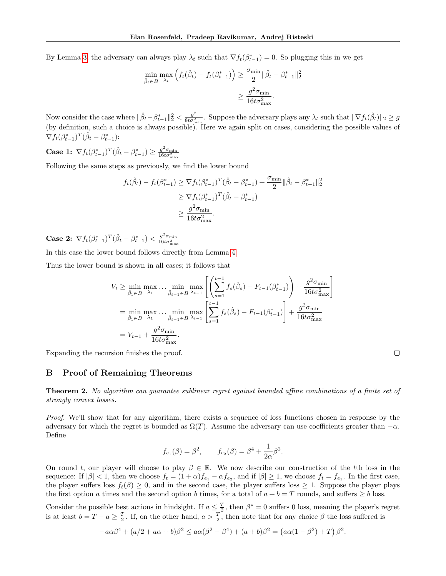By Lemma [3,](#page-14-1) the adversary can always play  $\lambda_t$  such that  $\nabla f_t(\beta_{t-1}^*)=0$ . So plugging this in we get

$$
\min_{\hat{\beta}_t \in B} \max_{\lambda_t} \left( f_t(\hat{\beta}_t) - f_t(\beta_{t-1}^*) \right) \ge \frac{\sigma_{\min}}{2} \|\hat{\beta}_t - \beta_{t-1}^*\|_2^2
$$

$$
\ge \frac{g^2 \sigma_{\min}}{16t \sigma_{\max}^2}.
$$

Now consider the case where  $\|\hat{\beta}_t - \beta_{t-1}^*\|_2^2 < \frac{g^2}{8t\sigma_{\epsilon}^2}$  $\frac{g^2}{8t\sigma_{\max}^2}$ . Suppose the adversary plays any  $\lambda_t$  such that  $\|\nabla f_t(\hat{\beta}_t)\|_2 \geq g$ (by definition, such a choice is always possible). Here we again split on cases, considering the possible values of  $\nabla f_t(\beta^*_{t-1})^T(\hat{\beta}_t - \beta^*_{t-1})$ :

**Case 1:**  $\nabla f_t(\beta_{t-1}^*)^T(\hat{\beta}_t - \beta_{t-1}^*) \geq \frac{g^2 \sigma_{\min}}{16t\sigma_{\min}^2}$  $16t\sigma_{\max}^2$ 

Following the same steps as previously, we find the lower bound

$$
f_t(\hat{\beta}_t) - f_t(\beta_{t-1}^*) \ge \nabla f_t(\beta_{t-1}^*)^T (\hat{\beta}_t - \beta_{t-1}^*) + \frac{\sigma_{\min}}{2} \|\hat{\beta}_t - \beta_{t-1}^*\|_2^2
$$
  
\n
$$
\ge \nabla f_t(\beta_{t-1}^*)^T (\hat{\beta}_t - \beta_{t-1}^*)
$$
  
\n
$$
\ge \frac{g^2 \sigma_{\min}}{16t\sigma_{\max}^2}.
$$

**Case 2:**  $\nabla f_t(\beta^*_{t-1})^T(\hat{\beta}_t - \beta^*_{t-1}) < \frac{g^2 \sigma_{\min}}{16 t \sigma_{\min}^2}$  $\frac{16t\sigma_{\max}^2}{2}$ 

In this case the lower bound follows directly from Lemma [4.](#page-15-0)

Thus the lower bound is shown in all cases; it follows that

$$
V_t \ge \min_{\hat{\beta}_1 \in B} \max_{\lambda_1} \dots \min_{\hat{\beta}_{t-1} \in B} \max_{\lambda_{t-1}} \left[ \left( \sum_{s=1}^{t-1} f_s(\hat{\beta}_s) - F_{t-1}(\beta_{t-1}^*) \right) + \frac{g^2 \sigma_{\min}}{16t \sigma_{\max}^2} \right]
$$
  
=  $\min_{\hat{\beta}_1 \in B} \max_{\lambda_1} \dots \min_{\hat{\beta}_{t-1} \in B} \max_{\lambda_{t-1}} \left[ \sum_{s=1}^{t-1} f_s(\hat{\beta}_s) - F_{t-1}(\beta_{t-1}^*) \right] + \frac{g^2 \sigma_{\min}}{16t \sigma_{\max}^2}$   
=  $V_{t-1} + \frac{g^2 \sigma_{\min}}{16t \sigma_{\max}^2}$ .

Expanding the recursion finishes the proof.

### B Proof of Remaining Theorems

Theorem 2. No algorithm can guarantee sublinear regret against bounded affine combinations of a finite set of strongly convex losses.

 $\Box$ 

Proof. We'll show that for any algorithm, there exists a sequence of loss functions chosen in response by the adversary for which the regret is bounded as  $\Omega(T)$ . Assume the adversary can use coefficients greater than  $-\alpha$ . Define

$$
f_{e_1}(\beta) = \beta^2
$$
,  $f_{e_2}(\beta) = \beta^4 + \frac{1}{2\alpha}\beta^2$ .

On round t, our player will choose to play  $\beta \in \mathbb{R}$ . We now describe our construction of the tth loss in the sequence: If  $|\beta| < 1$ , then we choose  $f_t = (1 + \alpha)f_{e_1} - \alpha f_{e_2}$ , and if  $|\beta| \ge 1$ , we choose  $f_t = f_{e_1}$ . In the first case, the player suffers loss  $f_t(\beta) \geq 0$ , and in the second case, the player suffers loss  $\geq 1$ . Suppose the player plays the first option a times and the second option b times, for a total of  $a + b = T$  rounds, and suffers  $\geq b$  loss.

Consider the possible best actions in hindsight. If  $a \leq \frac{T}{2}$ , then  $\beta^* = 0$  suffers 0 loss, meaning the player's regret is at least  $b = T - a \ge \frac{T}{2}$ . If, on the other hand,  $a > \frac{T}{2}$ , then note that for any choice  $\beta$  the loss suffered is

$$
-a\alpha\beta^4 + (a/2 + a\alpha + b)\beta^2 \le a\alpha(\beta^2 - \beta^4) + (a+b)\beta^2 = (a\alpha(1 - \beta^2) + T)\beta^2.
$$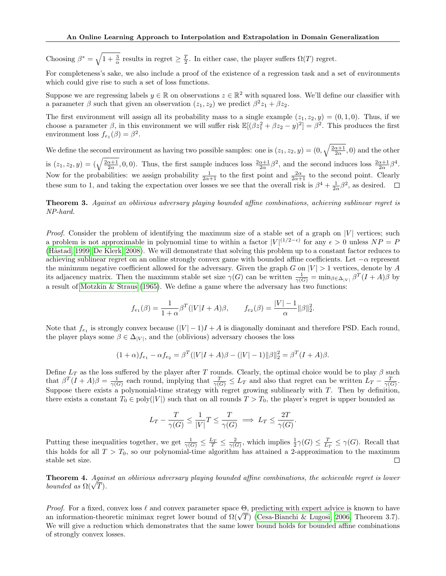Choosing  $\beta^* = \sqrt{1 + \frac{3}{\alpha}}$  results in regret  $\geq \frac{T}{2}$ . In either case, the player suffers  $\Omega(T)$  regret.

For completeness's sake, we also include a proof of the existence of a regression task and a set of environments which could give rise to such a set of loss functions.

Suppose we are regressing labels  $y \in \mathbb{R}$  on observations  $z \in \mathbb{R}^2$  with squared loss. We'll define our classifier with a parameter  $\beta$  such that given an observation  $(z_1, z_2)$  we predict  $\beta^2 z_1 + \beta z_2$ .

The first environment will assign all its probability mass to a single example  $(z_1, z_2, y) = (0, 1, 0)$ . Thus, if we choose a parameter  $\beta$ , in this environment we will suffer risk  $\mathbb{E}[(\beta z_1^2 + \beta z_2 - y)^2] = \beta^2$ . This produces the first environment loss  $f_{e_1}(\beta) = \beta^2$ .

We define the second environment as having two possible samples: one is  $(z_1, z_2, y) = (0, \sqrt{\frac{2\alpha+1}{2\alpha}}, 0)$  and the other is  $(z_1, z_2, y) = (\sqrt{\frac{2\alpha+1}{2\alpha}}, 0, 0)$ . Thus, the first sample induces loss  $\frac{2\alpha+1}{2\alpha}\beta^2$ , and the second induces loss  $\frac{2\alpha+1}{2\alpha}\beta^4$ . Now for the probabilities: we assign probability  $\frac{1}{2\alpha+1}$  to the first point and  $\frac{2\alpha}{2\alpha+1}$  to the second point. Clearly these sum to 1, and taking the expectation over losses we see that the overall risk is  $\beta^4 + \frac{1}{2\alpha}\beta^2$ , as desired.

Theorem 3. Against an oblivious adversary playing bounded affine combinations, achieving sublinear regret is NP-hard.

*Proof.* Consider the problem of identifying the maximum size of a stable set of a graph on  $|V|$  vertices; such a problem is not approximable in polynomial time to within a factor  $|V|^{(1/2-\epsilon)}$  for any  $\epsilon > 0$  unless  $NP = P$ (Håstad, 1999; [De Klerk, 2008\)](#page-9-23). We will demonstrate that solving this problem up to a constant factor reduces to achieving sublinear regret on an online strongly convex game with bounded affine coefficients. Let  $-\alpha$  represent the minimum negative coefficient allowed for the adversary. Given the graph G on  $|V| > 1$  vertices, denote by A its adjacency matrix. Then the maximum stable set size  $\gamma(G)$  can be written  $\frac{1}{\gamma(G)} = \min_{\beta \in \Delta_{|V|}} \beta^T (I + A) \beta$  by a result of [Motzkin & Straus](#page-9-24) [\(1965\)](#page-9-24). We define a game where the adversary has two functions:

$$
f_{e_1}(\beta) = \frac{1}{1+\alpha} \beta^T (|V|I+A)\beta, \qquad f_{e_2}(\beta) = \frac{|V|-1}{\alpha} ||\beta||_2^2.
$$

Note that  $f_{e_1}$  is strongly convex because  $(|V| - 1)I + A$  is diagonally dominant and therefore PSD. Each round, the player plays some  $\beta \in \Delta_{|V|}$ , and the (oblivious) adversary chooses the loss

$$
(1+\alpha)f_{e_1} - \alpha f_{e_2} = \beta^T(|V|I+A)\beta - (|V|-1)||\beta||_2^2 = \beta^T(I+A)\beta.
$$

Define  $L_T$  as the loss suffered by the player after T rounds. Clearly, the optimal choice would be to play  $\beta$  such that  $\beta^T(I+A)\beta=\frac{1}{\gamma(G)}$  each round, implying that  $\frac{T}{\gamma(G)}\leq L_T$  and also that regret can be written  $L_T-\frac{T}{\gamma(G)}$ . Suppose there exists a polynomial-time strategy with regret growing sublinearly with  $T$ . Then by definition, there exists a constant  $T_0 \in poly(|V|)$  such that on all rounds  $T > T_0$ , the player's regret is upper bounded as

$$
L_T - \frac{T}{\gamma(G)} \le \frac{1}{|V|}T \le \frac{T}{\gamma(G)} \implies L_T \le \frac{2T}{\gamma(G)}.
$$

Putting these inequalities together, we get  $\frac{1}{\gamma(G)} \leq \frac{L_T}{T} \leq \frac{2}{\gamma(G)}$ , which implies  $\frac{1}{2}\gamma(G) \leq \frac{T}{L_T} \leq \gamma(G)$ . Recall that this holds for all  $T > T_0$ , so our polynomial-time algorithm has attained a 2-approximation to the maximum stable set size.  $\Box$ 

Theorem 4. Against an oblivious adversary playing bounded affine combinations, the achievable regret is lower **Theorem 4.** Again<br>bounded as  $\Omega(\sqrt{T})$ .

*Proof.* For a fixed, convex loss  $\ell$  and convex parameter space  $\Theta$ , predicting with expert advice is known to have *Proof.* For a fixed, convex loss  $\ell$  and convex parameter space  $\Theta$ , predicting with expert advice is known to have an information-theoretic minimax regret lower bound of  $\Omega(\sqrt{T})$  [\(Cesa-Bianchi & Lugosi, 2006,](#page-9-15) Theorem We will give a reduction which demonstrates that the same lower bound holds for bounded affine combinations of strongly convex losses.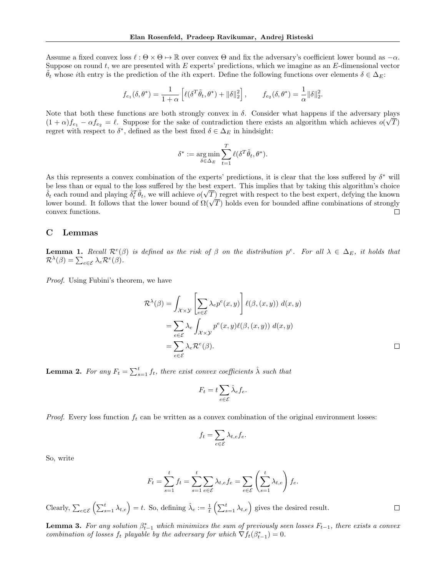Assume a fixed convex loss  $\ell : \Theta \times \Theta \mapsto \mathbb{R}$  over convex  $\Theta$  and fix the adversary's coefficient lower bound as  $-\alpha$ . Suppose on round  $t$ , we are presented with  $E$  experts' predictions, which we imagine as an  $E$ -dimensional vector  $\theta_t$  whose ith entry is the prediction of the ith expert. Define the following functions over elements  $\delta \in \Delta_E$ :

$$
f_{e_1}(\delta, \theta^*) = \frac{1}{1+\alpha} \left[ \ell(\delta^T \tilde{\theta}_t, \theta^*) + ||\delta||_2^2 \right], \qquad f_{e_2}(\delta, \theta^*) = \frac{1}{\alpha} ||\delta||_2^2.
$$

Note that both these functions are both strongly convex in  $\delta$ . Consider what happens if the adversary plays  $(1 + \alpha) f_{e_1} - \alpha f_{e_2} = \ell$ . Suppose for the sake of contradiction there exists an algorithm which achieves  $o(\sqrt{T})$ regret with respect to  $\delta^*$ , defined as the best fixed  $\delta \in \Delta_E$  in hindsight:

$$
\delta^* := \argmin_{\delta \in \Delta_E} \sum_{t=1}^T \ell(\delta^T \tilde{\theta}_t, \theta^*).
$$

As this represents a convex combination of the experts' predictions, it is clear that the loss suffered by  $\delta^*$  will be less than or equal to the loss suffered by the best expert. This implies that by taking this algorithm's choice  $\hat{\delta}_t$  each round and playing  $\hat{\delta}_t^T \tilde{\theta}_t$ , we will achieve  $o(\sqrt{T})$  regret with respect to the best expert, defying the known  $\partial_t$  each round and playing  $\partial_t \theta_t$ , we will achieve  $o(\sqrt{I})$  regret with respect to the best expert, derying the known<br>lower bound. It follows that the lower bound of  $\Omega(\sqrt{T})$  holds even for bounded affine combinations  $\Box$ convex functions.

## C Lemmas

**Lemma 1.** Recall  $\mathcal{R}^e(\beta)$  is defined as the risk of  $\beta$  on the distribution  $p^e$ . For all  $\lambda \in \Delta_E$ , it holds that  $\mathcal{R}^{\lambda}(\beta) = \sum_{e \in \mathcal{E}} \lambda_e \mathcal{R}^e(\beta).$ 

Proof. Using Fubini's theorem, we have

$$
\mathcal{R}^{\lambda}(\beta) = \int_{\mathcal{X} \times \mathcal{Y}} \left[ \sum_{e \in \mathcal{E}} \lambda_e p^e(x, y) \right] \ell(\beta, (x, y)) d(x, y)
$$
  
= 
$$
\sum_{e \in \mathcal{E}} \lambda_e \int_{\mathcal{X} \times \mathcal{Y}} p^e(x, y) \ell(\beta, (x, y)) d(x, y)
$$
  
= 
$$
\sum_{e \in \mathcal{E}} \lambda_e \mathcal{R}^e(\beta).
$$

 $\Box$ 

<span id="page-14-0"></span>**Lemma 2.** For any  $F_t = \sum_{s=1}^t f_t$ , there exist convex coefficients  $\hat{\lambda}$  such that

$$
F_t = t \sum_{e \in \mathcal{E}} \hat{\lambda}_e f_e.
$$

*Proof.* Every loss function  $f_t$  can be written as a convex combination of the original environment losses:

$$
f_t = \sum_{e \in \mathcal{E}} \lambda_{t,e} f_e.
$$

So, write

$$
F_t = \sum_{s=1}^t f_t = \sum_{s=1}^t \sum_{e \in \mathcal{E}} \lambda_{t,e} f_e = \sum_{e \in \mathcal{E}} \left( \sum_{s=1}^t \lambda_{t,e} \right) f_e.
$$

Clearly,  $\sum_{e \in \mathcal{E}} \left( \sum_{s=1}^t \lambda_{t,e} \right) = t$ . So, defining  $\hat{\lambda}_e := \frac{1}{t} \left( \sum_{s=1}^t \lambda_{t,e} \right)$  gives the desired result.

<span id="page-14-1"></span>**Lemma 3.** For any solution  $\beta_{t-1}^*$  which minimizes the sum of previously seen losses  $F_{t-1}$ , there exists a convex combination of losses  $f_t$  playable by the adversary for which  $\nabla f_t(\beta_{t-1}^*)=0$ .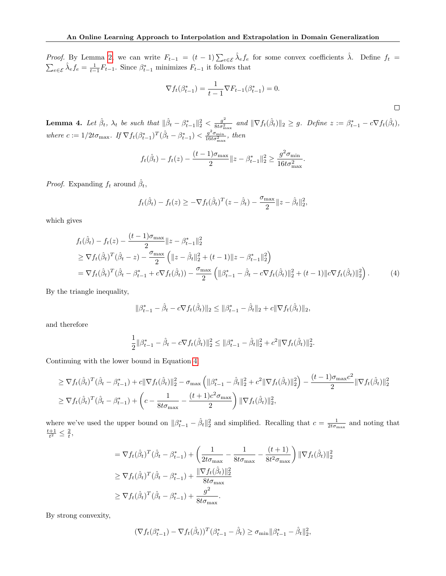*Proof.* By Lemma [2,](#page-14-0) we can write  $F_{t-1} = (t-1) \sum_{e \in \mathcal{E}} \hat{\lambda}_e f_e$  for some convex coefficients  $\hat{\lambda}$ . Define  $f_t$  $\sum_{e \in \mathcal{E}} \hat{\lambda}_e f_e = \frac{1}{t-1} F_{t-1}$ . Since  $\beta_{t-1}^*$  minimizes  $F_{t-1}$  it follows that

$$
\nabla f_t(\beta_{t-1}^*) = \frac{1}{t-1} \nabla F_{t-1}(\beta_{t-1}^*) = 0.
$$

<span id="page-15-1"></span> $\Box$ 

<span id="page-15-0"></span>**Lemma 4.** Let  $\hat{\beta}_t$ ,  $\lambda_t$  be such that  $\|\hat{\beta}_t - \beta_{t-1}^*\|_2^2 < \frac{g^2}{8t\sigma_{\gamma}^2}$  $\frac{g^2}{8t\sigma_{\max}^2}$  and  $\|\nabla f_t(\hat{\beta}_t)\|_2 \geq g$ . Define  $z := \beta_{t-1}^* - c\nabla f_t(\hat{\beta}_t)$ , where  $c := 1/2t\sigma_{\max}$ . If  $\nabla f_t(\beta_{t-1}^*)^T(\hat{\beta}_t - \beta_{t-1}^*) < \frac{g^2 \sigma_{\min}}{16t\sigma_{\min}^2}$  $\frac{g^{\dagger} \sigma_{\min}}{16t\sigma_{\max}^2}$ , then

$$
f_t(\hat{\beta}_t) - f_t(z) - \frac{(t-1)\sigma_{\max}}{2} ||z - \beta_{t-1}^*||_2^2 \ge \frac{g^2 \sigma_{\min}}{16t \sigma_{\max}^2}.
$$

*Proof.* Expanding  $f_t$  around  $\hat{\beta}_t$ ,

$$
f_t(\hat{\beta}_t) - f_t(z) \geq -\nabla f_t(\hat{\beta}_t)^T (z - \hat{\beta}_t) - \frac{\sigma_{\max}}{2} ||z - \hat{\beta}_t||_2^2,
$$

which gives

$$
f_t(\hat{\beta}_t) - f_t(z) - \frac{(t-1)\sigma_{\text{max}}}{2} ||z - \beta_{t-1}^*||_2^2
$$
  
\n
$$
\geq \nabla f_t(\hat{\beta}_t)^T (\hat{\beta}_t - z) - \frac{\sigma_{\text{max}}}{2} (||z - \hat{\beta}_t||_2^2 + (t-1) ||z - \beta_{t-1}^*||_2^2)
$$
  
\n
$$
= \nabla f_t(\hat{\beta}_t)^T (\hat{\beta}_t - \beta_{t-1}^* + c \nabla f_t(\hat{\beta}_t)) - \frac{\sigma_{\text{max}}}{2} (||\beta_{t-1}^* - \hat{\beta}_t - c \nabla f_t(\hat{\beta}_t)||_2^2 + (t-1) ||c \nabla f_t(\hat{\beta}_t)||_2^2).
$$
 (4)

By the triangle inequality,

$$
\|\beta_{t-1}^* - \hat{\beta}_t - c\nabla f_t(\hat{\beta}_t)\|_2 \le \|\beta_{t-1}^* - \hat{\beta}_t\|_2 + c\|\nabla f_t(\hat{\beta}_t)\|_2,
$$

and therefore

$$
\frac{1}{2} \|\beta_{t-1}^* - \hat{\beta}_t - c\nabla f_t(\hat{\beta}_t)\|_2^2 \le \|\beta_{t-1}^* - \hat{\beta}_t\|_2^2 + c^2 \|\nabla f_t(\hat{\beta}_t)\|_2^2.
$$

Continuing with the lower bound in Equation [4,](#page-15-1)

$$
\geq \nabla f_t(\hat{\beta}_t)^T(\hat{\beta}_t - \beta_{t-1}^*) + c \|\nabla f_t(\hat{\beta}_t)\|_2^2 - \sigma_{\max} \left( \|\beta_{t-1}^* - \hat{\beta}_t\|_2^2 + c^2 \|\nabla f_t(\hat{\beta}_t)\|_2^2 \right) - \frac{(t-1)\sigma_{\max}c^2}{2} \|\nabla f_t(\hat{\beta}_t)\|_2^2
$$
  
\n
$$
\geq \nabla f_t(\hat{\beta}_t)^T(\hat{\beta}_t - \beta_{t-1}^*) + \left(c - \frac{1}{8t\sigma_{\max}} - \frac{(t+1)c^2 \sigma_{\max}}{2}\right) \|\nabla f_t(\hat{\beta}_t)\|_2^2,
$$

where we've used the upper bound on  $\|\beta_{t-1}^* - \hat{\beta}_t\|_2^2$  and simplified. Recalling that  $c = \frac{1}{2t\sigma_{\max}}$  and noting that  $\frac{t+1}{t^2} \leq \frac{2}{t}$ ,

$$
= \nabla f_t(\hat{\beta}_t)^T (\hat{\beta}_t - \beta_{t-1}^*) + \left(\frac{1}{2t\sigma_{\max}} - \frac{1}{8t\sigma_{\max}} - \frac{(t+1)}{8t^2\sigma_{\max}}\right) \|\nabla f_t(\hat{\beta}_t)\|_2^2
$$
  
\n
$$
\geq \nabla f_t(\hat{\beta}_t)^T (\hat{\beta}_t - \beta_{t-1}^*) + \frac{\|\nabla f_t(\hat{\beta}_t)\|_2^2}{8t\sigma_{\max}}
$$
  
\n
$$
\geq \nabla f_t(\hat{\beta}_t)^T (\hat{\beta}_t - \beta_{t-1}^*) + \frac{g^2}{8t\sigma_{\max}}.
$$

By strong convexity,

$$
(\nabla f_t(\beta^*_{t-1}) - \nabla f_t(\hat{\beta}_t))^T (\beta^*_{t-1} - \hat{\beta}_t) \ge \sigma_{\min} ||\beta^*_{t-1} - \hat{\beta}_t||_2^2,
$$